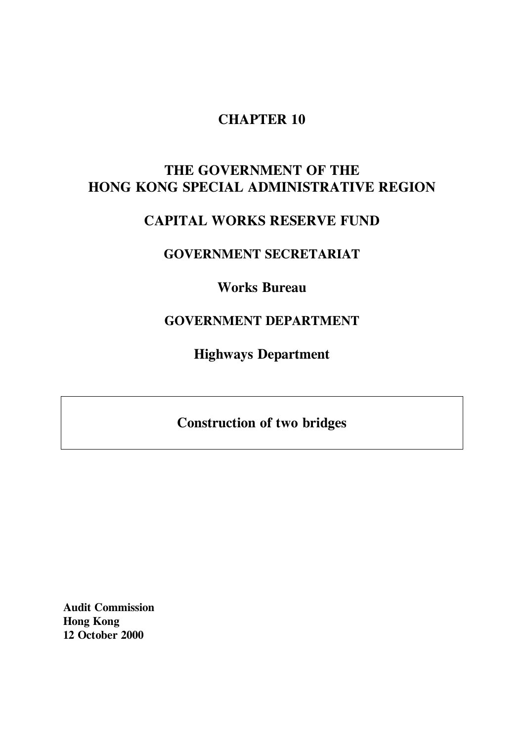## **CHAPTER 10**

# **THE GOVERNMENT OF THE HONG KONG SPECIAL ADMINISTRATIVE REGION**

# **CAPITAL WORKS RESERVE FUND**

## **GOVERNMENT SECRETARIAT**

**Works Bureau**

### **GOVERNMENT DEPARTMENT**

**Highways Department**

**Construction of two bridges**

**Audit Commission Hong Kong 12 October 2000**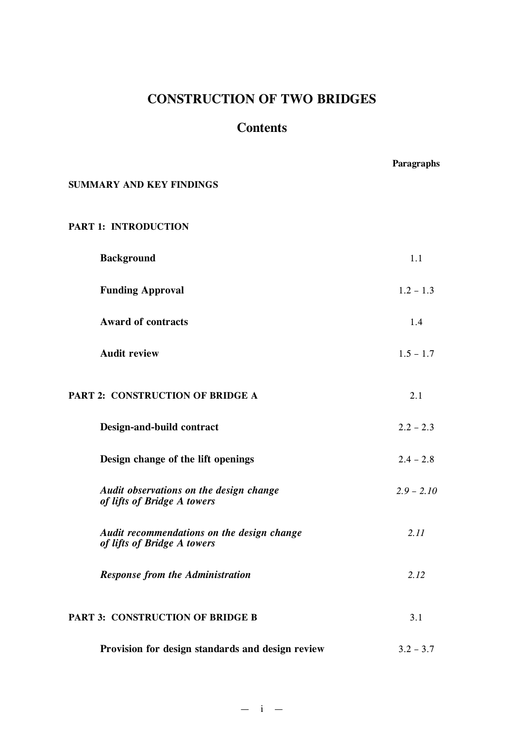# **CONSTRUCTION OF TWO BRIDGES**

## **Contents**

|                                                                           | Paragraphs   |
|---------------------------------------------------------------------------|--------------|
| <b>SUMMARY AND KEY FINDINGS</b>                                           |              |
| <b>PART 1: INTRODUCTION</b>                                               |              |
| <b>Background</b>                                                         | 1.1          |
| <b>Funding Approval</b>                                                   | $1.2 - 1.3$  |
| <b>Award of contracts</b>                                                 | 1.4          |
| <b>Audit review</b>                                                       | $1.5 - 1.7$  |
| PART 2: CONSTRUCTION OF BRIDGE A                                          | 2.1          |
| Design-and-build contract                                                 | $2.2 - 2.3$  |
| Design change of the lift openings                                        | $2.4 - 2.8$  |
| Audit observations on the design change<br>of lifts of Bridge A towers    | $2.9 - 2.10$ |
| Audit recommendations on the design change<br>of lifts of Bridge A towers | 2.11         |
| <b>Response from the Administration</b>                                   | 2.12         |
| <b>PART 3: CONSTRUCTION OF BRIDGE B</b>                                   | 3.1          |
| Provision for design standards and design review                          | $3.2 - 3.7$  |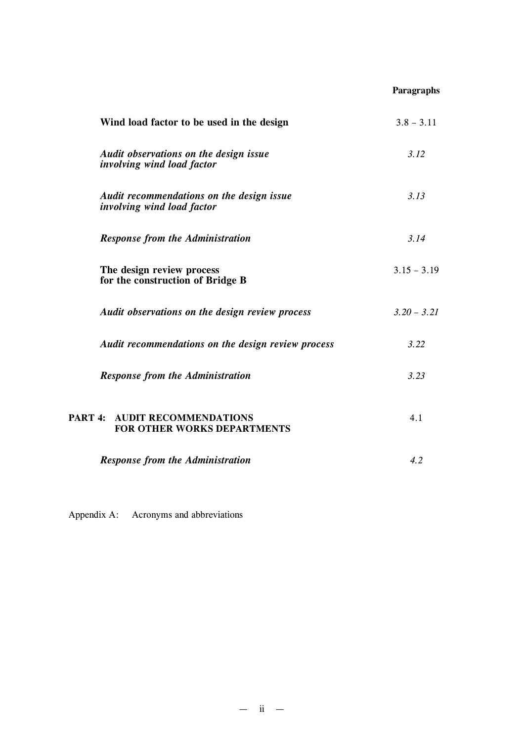#### **Paragraphs**

| Wind load factor to be used in the design                                     | $3.8 - 3.11$  |
|-------------------------------------------------------------------------------|---------------|
| Audit observations on the design issue<br><i>involving wind load factor</i>   | 3.12          |
| Audit recommendations on the design issue<br>involving wind load factor       | 3.13          |
| <b>Response from the Administration</b>                                       | 3.14          |
| The design review process<br>for the construction of Bridge B                 | $3.15 - 3.19$ |
| Audit observations on the design review process                               | $3.20 - 3.21$ |
| Audit recommendations on the design review process                            | 3.22          |
| <b>Response from the Administration</b>                                       | 3.23          |
| PART 4:<br><b>AUDIT RECOMMENDATIONS</b><br><b>FOR OTHER WORKS DEPARTMENTS</b> | 4.1           |
| <b>Response from the Administration</b>                                       | 4.2           |

Appendix A: Acronyms and abbreviations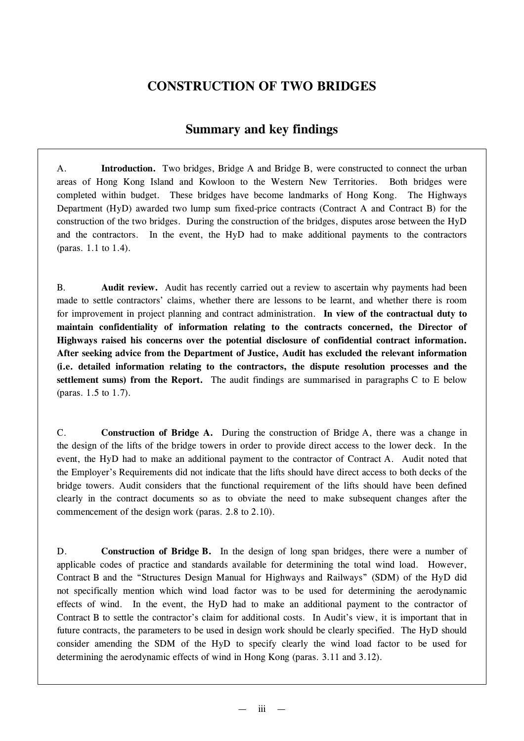## **CONSTRUCTION OF TWO BRIDGES**

### **Summary and key findings**

A. **Introduction.** Two bridges, Bridge A and Bridge B, were constructed to connect the urban areas of Hong Kong Island and Kowloon to the Western New Territories. Both bridges were completed within budget. These bridges have become landmarks of Hong Kong. The Highways Department (HyD) awarded two lump sum fixed-price contracts (Contract A and Contract B) for the construction of the two bridges. During the construction of the bridges, disputes arose between the HyD and the contractors. In the event, the HyD had to make additional payments to the contractors (paras. 1.1 to 1.4).

B. **Audit review.** Audit has recently carried out a review to ascertain why payments had been made to settle contractors' claims, whether there are lessons to be learnt, and whether there is room for improvement in project planning and contract administration. **In view of the contractual duty to maintain confidentiality of information relating to the contracts concerned, the Director of Highways raised his concerns over the potential disclosure of confidential contract information. After seeking advice from the Department of Justice, Audit has excluded the relevant information (i.e. detailed information relating to the contractors, the dispute resolution processes and the settlement sums) from the Report.** The audit findings are summarised in paragraphs C to E below (paras. 1.5 to 1.7).

C. **Construction of Bridge A.** During the construction of Bridge A, there was a change in the design of the lifts of the bridge towers in order to provide direct access to the lower deck. In the event, the HyD had to make an additional payment to the contractor of Contract A. Audit noted that the Employer's Requirements did not indicate that the lifts should have direct access to both decks of the bridge towers. Audit considers that the functional requirement of the lifts should have been defined clearly in the contract documents so as to obviate the need to make subsequent changes after the commencement of the design work (paras. 2.8 to 2.10).

D. **Construction of Bridge B.** In the design of long span bridges, there were a number of applicable codes of practice and standards available for determining the total wind load. However, Contract B and the "Structures Design Manual for Highways and Railways" (SDM) of the HyD did not specifically mention which wind load factor was to be used for determining the aerodynamic effects of wind. In the event, the HyD had to make an additional payment to the contractor of Contract B to settle the contractor's claim for additional costs. In Audit's view, it is important that in future contracts, the parameters to be used in design work should be clearly specified. The HyD should consider amending the SDM of the HyD to specify clearly the wind load factor to be used for determining the aerodynamic effects of wind in Hong Kong (paras. 3.11 and 3.12).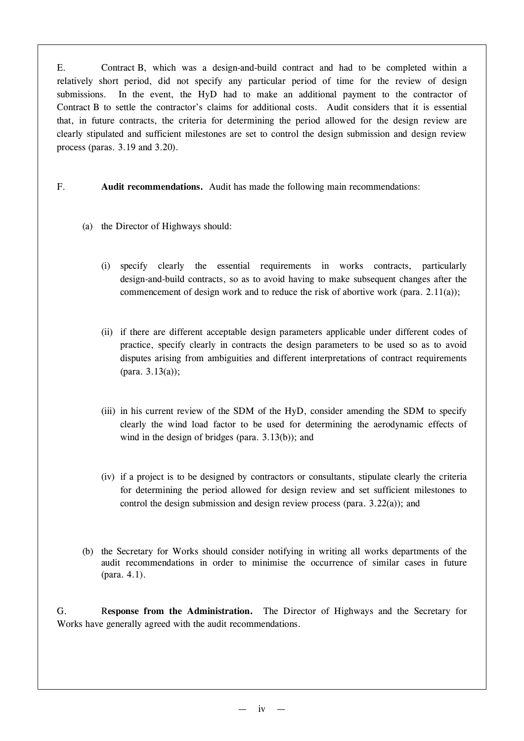E. Contract B, which was a design-and-build contract and had to be completed within a relatively short period, did not specify any particular period of time for the review of design submissions. In the event, the HyD had to make an additional payment to the contractor of Contract B to settle the contractor's claims for additional costs. Audit considers that it is essential that, in future contracts, the criteria for determining the period allowed for the design review are clearly stipulated and sufficient milestones are set to control the design submission and design review process (paras. 3.19 and 3.20).

#### F. **Audit recommendations.** Audit has made the following main recommendations:

- (a) the Director of Highways should:
	- (i) specify clearly the essential requirements in works contracts, particularly design-and-build contracts, so as to avoid having to make subsequent changes after the commencement of design work and to reduce the risk of abortive work (para.  $2.11(a)$ );
	- (ii) if there are different acceptable design parameters applicable under different codes of practice, specify clearly in contracts the design parameters to be used so as to avoid disputes arising from ambiguities and different interpretations of contract requirements (para. 3.13(a));
	- (iii) in his current review of the SDM of the HyD, consider amending the SDM to specify clearly the wind load factor to be used for determining the aerodynamic effects of wind in the design of bridges (para. 3.13(b)); and
	- (iv) if a project is to be designed by contractors or consultants, stipulate clearly the criteria for determining the period allowed for design review and set sufficient milestones to control the design submission and design review process (para. 3.22(a)); and
- (b) the Secretary for Works should consider notifying in writing all works departments of the audit recommendations in order to minimise the occurrence of similar cases in future (para. 4.1).

G. R**esponse from the Administration.** The Director of Highways and the Secretary for Works have generally agreed with the audit recommendations.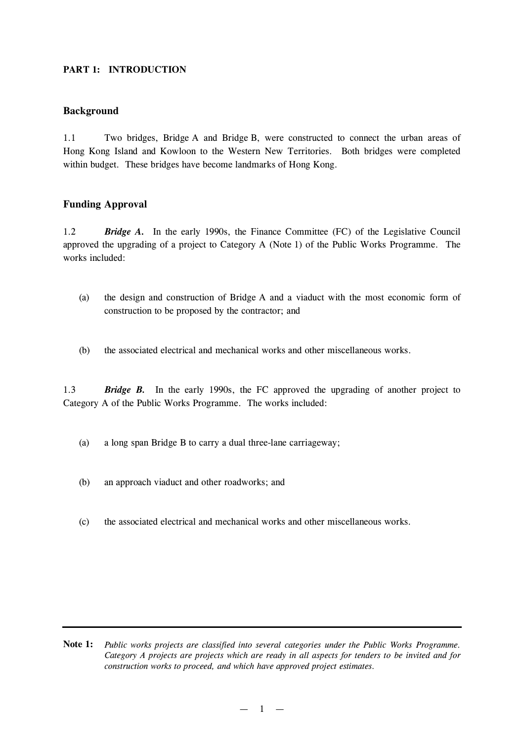#### **PART 1: INTRODUCTION**

#### **Background**

1.1 Two bridges, Bridge A and Bridge B, were constructed to connect the urban areas of Hong Kong Island and Kowloon to the Western New Territories. Both bridges were completed within budget. These bridges have become landmarks of Hong Kong.

#### **Funding Approval**

1.2 *Bridge A.* In the early 1990s, the Finance Committee (FC) of the Legislative Council approved the upgrading of a project to Category A (Note 1) of the Public Works Programme. The works included:

- (a) the design and construction of Bridge A and a viaduct with the most economic form of construction to be proposed by the contractor; and
- (b) the associated electrical and mechanical works and other miscellaneous works.

1.3 *Bridge B.* In the early 1990s, the FC approved the upgrading of another project to Category A of the Public Works Programme. The works included:

- (a) a long span Bridge B to carry a dual three-lane carriageway;
- (b) an approach viaduct and other roadworks; and
- (c) the associated electrical and mechanical works and other miscellaneous works.

**Note 1:** *Public works projects are classified into several categories under the Public Works Programme. Category A projects are projects which are ready in all aspects for tenders to be invited and for construction works to proceed, and which have approved project estimates.*

 $-1$   $-$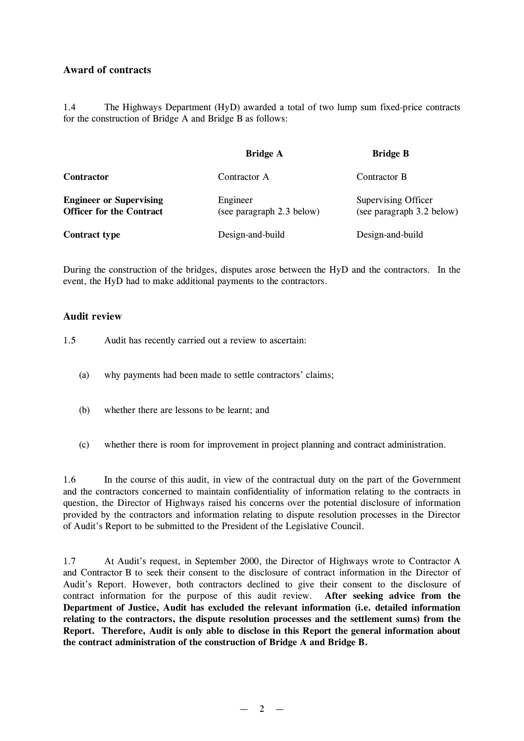#### **Award of contracts**

1.4 The Highways Department (HyD) awarded a total of two lump sum fixed-price contracts for the construction of Bridge A and Bridge B as follows:

|                                                                   | <b>Bridge A</b>                       | <b>Bridge B</b>                                  |
|-------------------------------------------------------------------|---------------------------------------|--------------------------------------------------|
| <b>Contractor</b>                                                 | Contractor A                          | Contractor B                                     |
| <b>Engineer or Supervising</b><br><b>Officer for the Contract</b> | Engineer<br>(see paragraph 2.3 below) | Supervising Officer<br>(see paragraph 3.2 below) |
| <b>Contract type</b>                                              | Design-and-build                      | Design-and-build                                 |

During the construction of the bridges, disputes arose between the HyD and the contractors. In the event, the HyD had to make additional payments to the contractors.

#### **Audit review**

1.5 Audit has recently carried out a review to ascertain:

- (a) why payments had been made to settle contractors'claims;
- (b) whether there are lessons to be learnt; and
- (c) whether there is room for improvement in project planning and contract administration.

1.6 In the course of this audit, in view of the contractual duty on the part of the Government and the contractors concerned to maintain confidentiality of information relating to the contracts in question, the Director of Highways raised his concerns over the potential disclosure of information provided by the contractors and information relating to dispute resolution processes in the Director of Audit's Report to be submitted to the President of the Legislative Council.

1.7 At Audit's request, in September 2000, the Director of Highways wrote to Contractor A and Contractor B to seek their consent to the disclosure of contract information in the Director of Audit's Report. However, both contractors declined to give their consent to the disclosure of contract information for the purpose of this audit review. **After seeking advice from the Department of Justice, Audit has excluded the relevant information (i.e. detailed information relating to the contractors, the dispute resolution processes and the settlement sums) from the Report. Therefore, Audit is only able to disclose in this Report the general information about the contract administration of the construction of Bridge A and Bridge B.**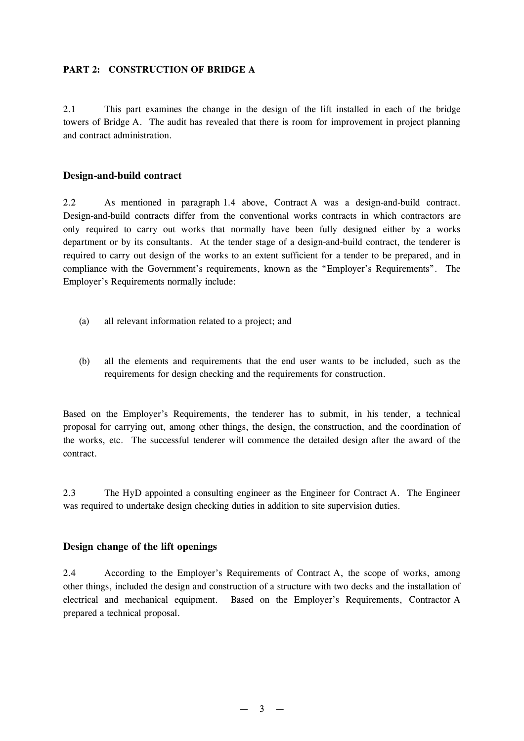#### **PART 2: CONSTRUCTION OF BRIDGE A**

2.1 This part examines the change in the design of the lift installed in each of the bridge towers of Bridge A. The audit has revealed that there is room for improvement in project planning and contract administration.

#### **Design-and-build contract**

2.2 As mentioned in paragraph 1.4 above, Contract A was a design-and-build contract. Design-and-build contracts differ from the conventional works contracts in which contractors are only required to carry out works that normally have been fully designed either by a works department or by its consultants. At the tender stage of a design-and-build contract, the tenderer is required to carry out design of the works to an extent sufficient for a tender to be prepared, and in compliance with the Government's requirements, known as the "Employer's Requirements". The Employer's Requirements normally include:

- (a) all relevant information related to a project; and
- (b) all the elements and requirements that the end user wants to be included, such as the requirements for design checking and the requirements for construction.

Based on the Employer's Requirements, the tenderer has to submit, in his tender, a technical proposal for carrying out, among other things, the design, the construction, and the coordination of the works, etc. The successful tenderer will commence the detailed design after the award of the contract.

2.3 The HyD appointed a consulting engineer as the Engineer for Contract A. The Engineer was required to undertake design checking duties in addition to site supervision duties.

#### **Design change of the lift openings**

2.4 According to the Employer's Requirements of Contract A, the scope of works, among other things, included the design and construction of a structure with two decks and the installation of electrical and mechanical equipment. Based on the Employer's Requirements, Contractor A prepared a technical proposal.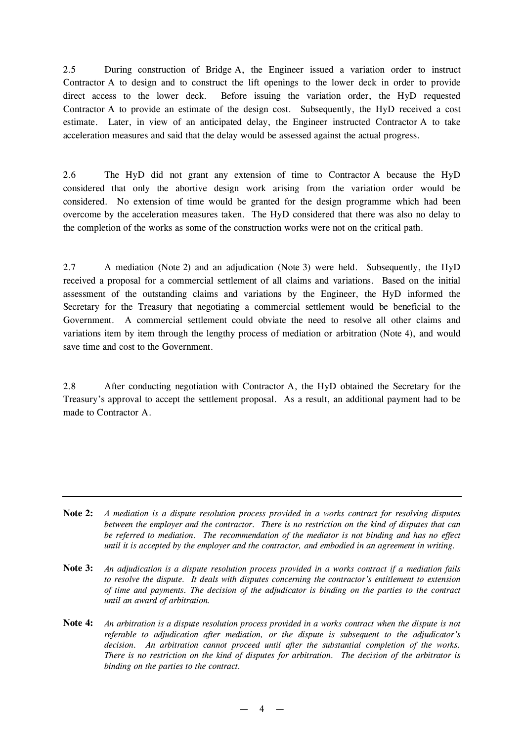2.5 During construction of Bridge A, the Engineer issued a variation order to instruct Contractor A to design and to construct the lift openings to the lower deck in order to provide direct access to the lower deck. Before issuing the variation order, the HyD requested Contractor A to provide an estimate of the design cost. Subsequently, the HyD received a cost estimate. Later, in view of an anticipated delay, the Engineer instructed Contractor A to take acceleration measures and said that the delay would be assessed against the actual progress.

2.6 The HyD did not grant any extension of time to Contractor A because the HyD considered that only the abortive design work arising from the variation order would be considered. No extension of time would be granted for the design programme which had been overcome by the acceleration measures taken. The HyD considered that there was also no delay to the completion of the works as some of the construction works were not on the critical path.

2.7 A mediation (Note 2) and an adjudication (Note 3) were held. Subsequently, the HyD received a proposal for a commercial settlement of all claims and variations. Based on the initial assessment of the outstanding claims and variations by the Engineer, the HyD informed the Secretary for the Treasury that negotiating a commercial settlement would be beneficial to the Government. A commercial settlement could obviate the need to resolve all other claims and variations item by item through the lengthy process of mediation or arbitration (Note 4), and would save time and cost to the Government.

2.8 After conducting negotiation with Contractor A, the HyD obtained the Secretary for the Treasury's approval to accept the settlement proposal. As a result, an additional payment had to be made to Contractor A.

**Note 2:** *A mediation is a dispute resolution process provided in a works contract for resolving disputes between the employer and the contractor. There is no restriction on the kind of disputes that can be referred to mediation. The recommendation of the mediator is not binding and has no effect until it is accepted by the employer and the contractor, and embodied in an agreement in writing.*

Note 3: An adjudication is a dispute resolution process provided in a works contract if a mediation fails *to resolve the dispute. It deals with disputes concerning the contractor's entitlement to extension of time and payments. The decision of the adjudicator is binding on the parties to the contract until an award of arbitration.*

Note 4: An arbitration is a dispute resolution process provided in a works contract when the dispute is not *referable to adjudication after mediation, or the dispute is subsequent to the adjudicator's decision. An arbitration cannot proceed until after the substantial completion of the works. There is no restriction on the kind of disputes for arbitration. The decision of the arbitrator is binding on the parties to the contract.*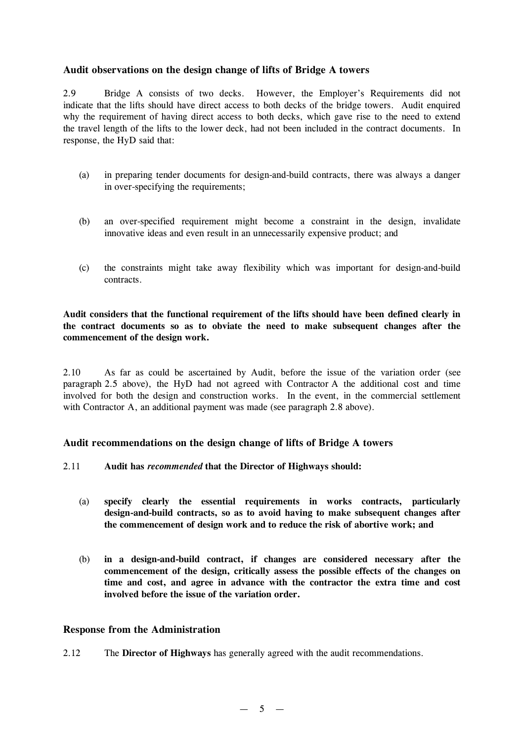#### **Audit observations on the design change of lifts of Bridge A towers**

2.9 Bridge A consists of two decks. However, the Employer's Requirements did not indicate that the lifts should have direct access to both decks of the bridge towers. Audit enquired why the requirement of having direct access to both decks, which gave rise to the need to extend the travel length of the lifts to the lower deck, had not been included in the contract documents. In response, the HyD said that:

- (a) in preparing tender documents for design-and-build contracts, there was always a danger in over-specifying the requirements;
- (b) an over-specified requirement might become a constraint in the design, invalidate innovative ideas and even result in an unnecessarily expensive product; and
- (c) the constraints might take away flexibility which was important for design-and-build contracts.

**Audit considers that the functional requirement of the lifts should have been defined clearly in the contract documents so as to obviate the need to make subsequent changes after the commencement of the design work.**

2.10 As far as could be ascertained by Audit, before the issue of the variation order (see paragraph 2.5 above), the HyD had not agreed with Contractor A the additional cost and time involved for both the design and construction works. In the event, in the commercial settlement with Contractor A, an additional payment was made (see paragraph 2.8 above).

#### **Audit recommendations on the design change of lifts of Bridge A towers**

- 2.11 **Audit has** *recommended* **that the Director of Highways should:**
	- (a) **specify clearly the essential requirements in works contracts, particularly design-and-build contracts, so as to avoid having to make subsequent changes after the commencement of design work and to reduce the risk of abortive work; and**
	- (b) **in a design-and-build contract, if changes are considered necessary after the commencement of the design, critically assess the possible effects of the changes on time and cost, and agree in advance with the contractor the extra time and cost involved before the issue of the variation order.**

#### **Response from the Administration**

2.12 The **Director of Highways** has generally agreed with the audit recommendations.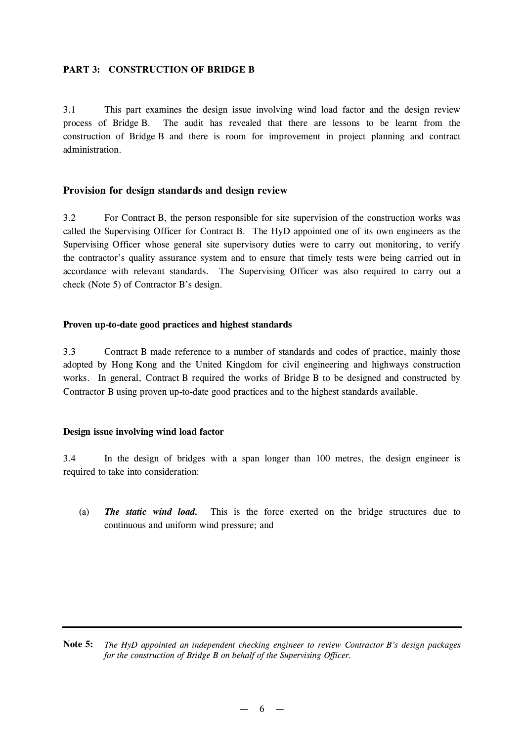#### **PART 3: CONSTRUCTION OF BRIDGE B**

3.1 This part examines the design issue involving wind load factor and the design review process of Bridge B. The audit has revealed that there are lessons to be learnt from the construction of Bridge B and there is room for improvement in project planning and contract administration.

#### **Provision for design standards and design review**

3.2 For Contract B, the person responsible for site supervision of the construction works was called the Supervising Officer for Contract B. The HyD appointed one of its own engineers as the Supervising Officer whose general site supervisory duties were to carry out monitoring, to verify the contractor's quality assurance system and to ensure that timely tests were being carried out in accordance with relevant standards. The Supervising Officer was also required to carry out a check (Note 5) of Contractor B's design.

#### **Proven up-to-date good practices and highest standards**

3.3 Contract B made reference to a number of standards and codes of practice, mainly those adopted by Hong Kong and the United Kingdom for civil engineering and highways construction works. In general, Contract B required the works of Bridge B to be designed and constructed by Contractor B using proven up-to-date good practices and to the highest standards available.

#### **Design issue involving wind load factor**

3.4 In the design of bridges with a span longer than 100 metres, the design engineer is required to take into consideration:

(a) *The static wind load.* This is the force exerted on the bridge structures due to continuous and uniform wind pressure; and

**Note 5:** *The HyD appointed an independent checking engineer to review Contractor B's design packages for the construction of Bridge B on behalf of the Supervising Officer.*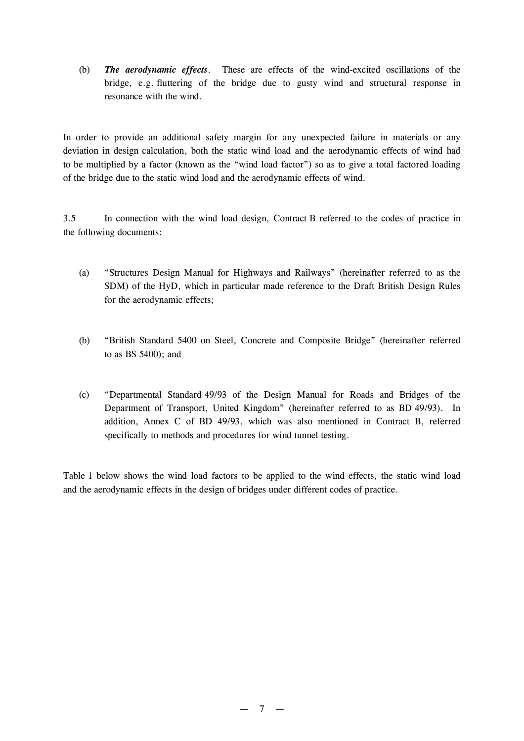(b) *The aerodynamic effects*. These are effects of the wind-excited oscillations of the bridge, e.g. fluttering of the bridge due to gusty wind and structural response in resonance with the wind.

In order to provide an additional safety margin for any unexpected failure in materials or any deviation in design calculation, both the static wind load and the aerodynamic effects of wind had to be multiplied by a factor (known as the "wind load factor") so as to give a total factored loading of the bridge due to the static wind load and the aerodynamic effects of wind.

3.5 In connection with the wind load design, Contract B referred to the codes of practice in the following documents:

- (a) "Structures Design Manual for Highways and Railways" (hereinafter referred to as the SDM) of the HyD, which in particular made reference to the Draft British Design Rules for the aerodynamic effects;
- (b) "British Standard 5400 on Steel, Concrete and Composite Bridge" (hereinafter referred to as BS 5400); and
- (c) "Departmental Standard 49/93 of the Design Manual for Roads and Bridges of the Department of Transport, United Kingdom" (hereinafter referred to as BD 49/93). In addition, Annex C of BD 49/93, which was also mentioned in Contract B, referred specifically to methods and procedures for wind tunnel testing.

Table 1 below shows the wind load factors to be applied to the wind effects, the static wind load and the aerodynamic effects in the design of bridges under different codes of practice.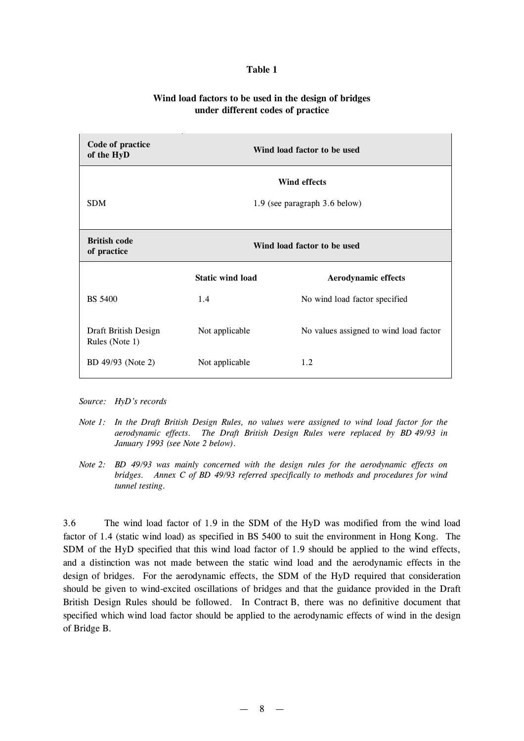#### **Table 1**

#### **Wind load factors to be used in the design of bridges under different codes of practice**

| Code of practice<br>of the HyD         |                               | Wind load factor to be used            |  |
|----------------------------------------|-------------------------------|----------------------------------------|--|
|                                        |                               | <b>Wind effects</b>                    |  |
| <b>SDM</b>                             | 1.9 (see paragraph 3.6 below) |                                        |  |
|                                        |                               |                                        |  |
| <b>British code</b><br>of practice     | Wind load factor to be used   |                                        |  |
|                                        | <b>Static wind load</b>       | <b>Aerodynamic effects</b>             |  |
| <b>BS 5400</b>                         | 1.4                           | No wind load factor specified          |  |
| Draft British Design<br>Rules (Note 1) | Not applicable                | No values assigned to wind load factor |  |
| BD 49/93 (Note 2)                      | Not applicable                | 1.2                                    |  |

*Source: HyD's records*

- *Note 1: In the Draft British Design Rules, no values were assigned to wind load factor for the aerodynamic effects. The Draft British Design Rules were replaced by BD 49/93 in January 1993 (see Note 2 below).*
- *Note 2: BD 49/93 was mainly concerned with the design rules for the aerodynamic effects on bridges. Annex C of BD 49/93 referred specifically to methods and procedures for wind tunnel testing.*

3.6 The wind load factor of 1.9 in the SDM of the HyD was modified from the wind load factor of 1.4 (static wind load) as specified in BS 5400 to suit the environment in Hong Kong. The SDM of the HyD specified that this wind load factor of 1.9 should be applied to the wind effects, and a distinction was not made between the static wind load and the aerodynamic effects in the design of bridges. For the aerodynamic effects, the SDM of the HyD required that consideration should be given to wind-excited oscillations of bridges and that the guidance provided in the Draft British Design Rules should be followed. In Contract B, there was no definitive document that specified which wind load factor should be applied to the aerodynamic effects of wind in the design of Bridge B.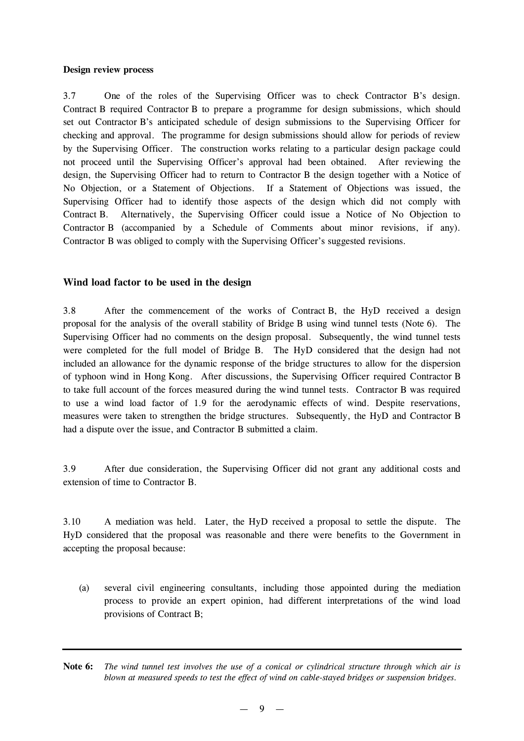#### **Design review process**

3.7 One of the roles of the Supervising Officer was to check Contractor B's design. Contract B required Contractor B to prepare a programme for design submissions, which should set out Contractor B's anticipated schedule of design submissions to the Supervising Officer for checking and approval. The programme for design submissions should allow for periods of review by the Supervising Officer. The construction works relating to a particular design package could not proceed until the Supervising Officer's approval had been obtained. After reviewing the design, the Supervising Officer had to return to Contractor B the design together with a Notice of No Objection, or a Statement of Objections. If a Statement of Objections was issued, the Supervising Officer had to identify those aspects of the design which did not comply with Contract B. Alternatively, the Supervising Officer could issue a Notice of No Objection to Contractor B (accompanied by a Schedule of Comments about minor revisions, if any). Contractor B was obliged to comply with the Supervising Officer's suggested revisions.

#### **Wind load factor to be used in the design**

3.8 After the commencement of the works of Contract B, the HyD received a design proposal for the analysis of the overall stability of Bridge B using wind tunnel tests (Note 6). The Supervising Officer had no comments on the design proposal. Subsequently, the wind tunnel tests were completed for the full model of Bridge B. The HyD considered that the design had not included an allowance for the dynamic response of the bridge structures to allow for the dispersion of typhoon wind in Hong Kong. After discussions, the Supervising Officer required Contractor B to take full account of the forces measured during the wind tunnel tests. Contractor B was required to use a wind load factor of 1.9 for the aerodynamic effects of wind. Despite reservations, measures were taken to strengthen the bridge structures. Subsequently, the HyD and Contractor B had a dispute over the issue, and Contractor B submitted a claim.

3.9 After due consideration, the Supervising Officer did not grant any additional costs and extension of time to Contractor B.

3.10 A mediation was held. Later, the HyD received a proposal to settle the dispute. The HyD considered that the proposal was reasonable and there were benefits to the Government in accepting the proposal because:

- (a) several civil engineering consultants, including those appointed during the mediation process to provide an expert opinion, had different interpretations of the wind load provisions of Contract B;
- Note 6: The wind tunnel test involves the use of a conical or cylindrical structure through which air is *blown at measured speeds to test the effect of wind on cable-stayed bridges or suspension bridges.*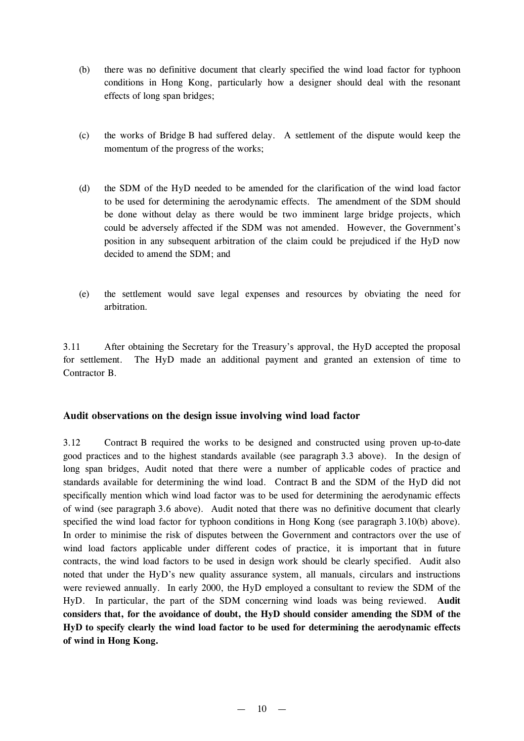- (b) there was no definitive document that clearly specified the wind load factor for typhoon conditions in Hong Kong, particularly how a designer should deal with the resonant effects of long span bridges;
- (c) the works of Bridge B had suffered delay. A settlement of the dispute would keep the momentum of the progress of the works;
- (d) the SDM of the HyD needed to be amended for the clarification of the wind load factor to be used for determining the aerodynamic effects. The amendment of the SDM should be done without delay as there would be two imminent large bridge projects, which could be adversely affected if the SDM was not amended. However, the Government's position in any subsequent arbitration of the claim could be prejudiced if the HyD now decided to amend the SDM; and
- (e) the settlement would save legal expenses and resources by obviating the need for arbitration.

3.11 After obtaining the Secretary for the Treasury's approval, the HyD accepted the proposal for settlement. The HyD made an additional payment and granted an extension of time to Contractor B.

#### **Audit observations on the design issue involving wind load factor**

3.12 Contract B required the works to be designed and constructed using proven up-to-date good practices and to the highest standards available (see paragraph 3.3 above). In the design of long span bridges, Audit noted that there were a number of applicable codes of practice and standards available for determining the wind load. Contract B and the SDM of the HyD did not specifically mention which wind load factor was to be used for determining the aerodynamic effects of wind (see paragraph 3.6 above). Audit noted that there was no definitive document that clearly specified the wind load factor for typhoon conditions in Hong Kong (see paragraph 3.10(b) above). In order to minimise the risk of disputes between the Government and contractors over the use of wind load factors applicable under different codes of practice, it is important that in future contracts, the wind load factors to be used in design work should be clearly specified. Audit also noted that under the HyD's new quality assurance system, all manuals, circulars and instructions were reviewed annually. In early 2000, the HyD employed a consultant to review the SDM of the HyD. In particular, the part of the SDM concerning wind loads was being reviewed. **Audit considers that, for the avoidance of doubt, the HyD should consider amending the SDM of the HyD to specify clearly the wind load factor to be used for determining the aerodynamic effects of wind in Hong Kong.**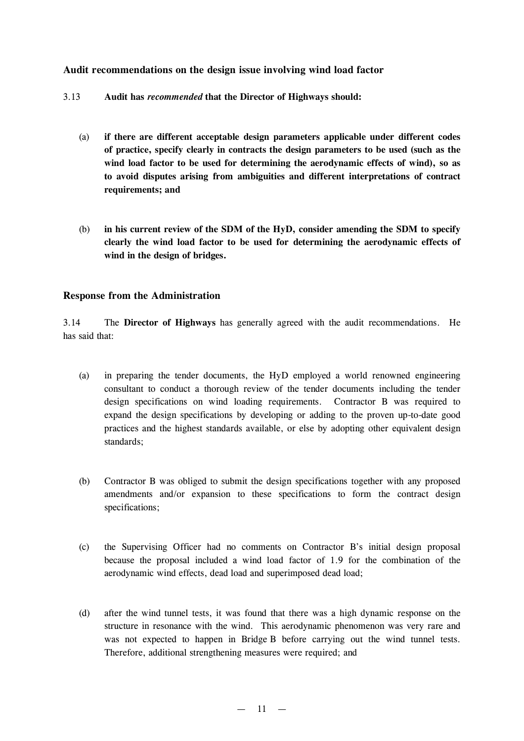#### **Audit recommendations on the design issue involving wind load factor**

- 3.13 **Audit has** *recommended* **that the Director of Highways should:**
	- (a) **if there are different acceptable design parameters applicable under different codes of practice, specify clearly in contracts the design parameters to be used (such as the wind load factor to be used for determining the aerodynamic effects of wind), so as to avoid disputes arising from ambiguities and different interpretations of contract requirements; and**
	- (b) **in his current review of the SDM of the HyD, consider amending the SDM to specify clearly the wind load factor to be used for determining the aerodynamic effects of wind in the design of bridges.**

#### **Response from the Administration**

3.14 The **Director of Highways** has generally agreed with the audit recommendations. He has said that:

- (a) in preparing the tender documents, the HyD employed a world renowned engineering consultant to conduct a thorough review of the tender documents including the tender design specifications on wind loading requirements. Contractor B was required to expand the design specifications by developing or adding to the proven up-to-date good practices and the highest standards available, or else by adopting other equivalent design standards;
- (b) Contractor B was obliged to submit the design specifications together with any proposed amendments and/or expansion to these specifications to form the contract design specifications;
- (c) the Supervising Officer had no comments on Contractor B's initial design proposal because the proposal included a wind load factor of 1.9 for the combination of the aerodynamic wind effects, dead load and superimposed dead load;
- (d) after the wind tunnel tests, it was found that there was a high dynamic response on the structure in resonance with the wind. This aerodynamic phenomenon was very rare and was not expected to happen in Bridge B before carrying out the wind tunnel tests. Therefore, additional strengthening measures were required; and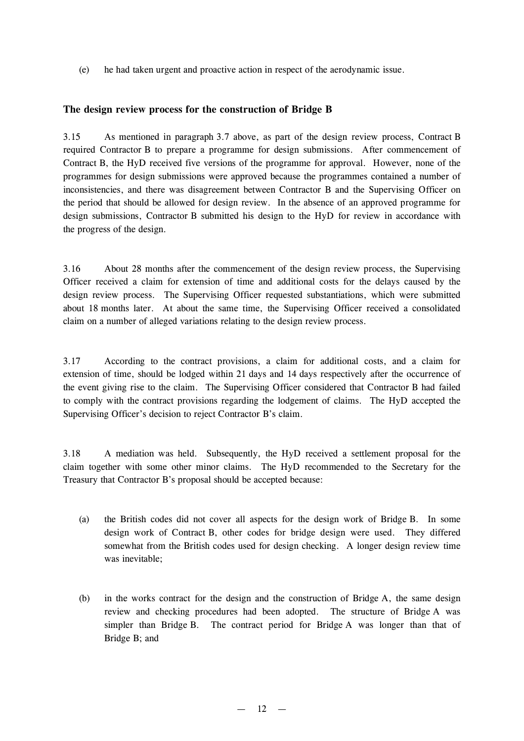(e) he had taken urgent and proactive action in respect of the aerodynamic issue.

#### **The design review process for the construction of Bridge B**

3.15 As mentioned in paragraph 3.7 above, as part of the design review process, Contract B required Contractor B to prepare a programme for design submissions. After commencement of Contract B, the HyD received five versions of the programme for approval. However, none of the programmes for design submissions were approved because the programmes contained a number of inconsistencies, and there was disagreement between Contractor B and the Supervising Officer on the period that should be allowed for design review. In the absence of an approved programme for design submissions, Contractor B submitted his design to the HyD for review in accordance with the progress of the design.

3.16 About 28 months after the commencement of the design review process, the Supervising Officer received a claim for extension of time and additional costs for the delays caused by the design review process. The Supervising Officer requested substantiations, which were submitted about 18 months later. At about the same time, the Supervising Officer received a consolidated claim on a number of alleged variations relating to the design review process.

3.17 According to the contract provisions, a claim for additional costs, and a claim for extension of time, should be lodged within 21 days and 14 days respectively after the occurrence of the event giving rise to the claim. The Supervising Officer considered that Contractor B had failed to comply with the contract provisions regarding the lodgement of claims. The HyD accepted the Supervising Officer's decision to reject Contractor B's claim.

3.18 A mediation was held. Subsequently, the HyD received a settlement proposal for the claim together with some other minor claims. The HyD recommended to the Secretary for the Treasury that Contractor B's proposal should be accepted because:

- (a) the British codes did not cover all aspects for the design work of Bridge B. In some design work of Contract B, other codes for bridge design were used. They differed somewhat from the British codes used for design checking. A longer design review time was inevitable;
- (b) in the works contract for the design and the construction of Bridge A, the same design review and checking procedures had been adopted. The structure of Bridge A was simpler than Bridge B. The contract period for Bridge A was longer than that of Bridge B; and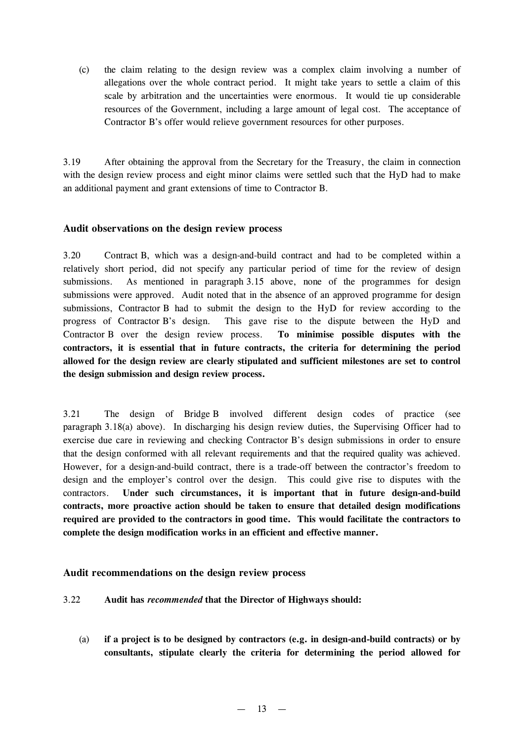(c) the claim relating to the design review was a complex claim involving a number of allegations over the whole contract period. It might take years to settle a claim of this scale by arbitration and the uncertainties were enormous. It would tie up considerable resources of the Government, including a large amount of legal cost. The acceptance of Contractor B's offer would relieve government resources for other purposes.

3.19 After obtaining the approval from the Secretary for the Treasury, the claim in connection with the design review process and eight minor claims were settled such that the HyD had to make an additional payment and grant extensions of time to Contractor B.

#### **Audit observations on the design review process**

3.20 Contract B, which was a design-and-build contract and had to be completed within a relatively short period, did not specify any particular period of time for the review of design submissions. As mentioned in paragraph 3.15 above, none of the programmes for design submissions were approved. Audit noted that in the absence of an approved programme for design submissions, Contractor B had to submit the design to the HyD for review according to the progress of Contractor B's design. This gave rise to the dispute between the HyD and Contractor B over the design review process. **To minimise possible disputes with the contractors, it is essential that in future contracts, the criteria for determining the period allowed for the design review are clearly stipulated and sufficient milestones are set to control the design submission and design review process.**

3.21 The design of Bridge B involved different design codes of practice (see paragraph 3.18(a) above). In discharging his design review duties, the Supervising Officer had to exercise due care in reviewing and checking Contractor B's design submissions in order to ensure that the design conformed with all relevant requirements and that the required quality was achieved. However, for a design-and-build contract, there is a trade-off between the contractor's freedom to design and the employer's control over the design. This could give rise to disputes with the contractors. **Under such circumstances, it is important that in future design-and-build contracts, more proactive action should be taken to ensure that detailed design modifications required are provided to the contractors in good time. This would facilitate the contractors to complete the design modification works in an efficient and effective manner.**

#### **Audit recommendations on the design review process**

- 3.22 **Audit has** *recommended* **that the Director of Highways should:**
	- (a) **if a project is to be designed by contractors (e.g. in design-and-build contracts) or by consultants, stipulate clearly the criteria for determining the period allowed for**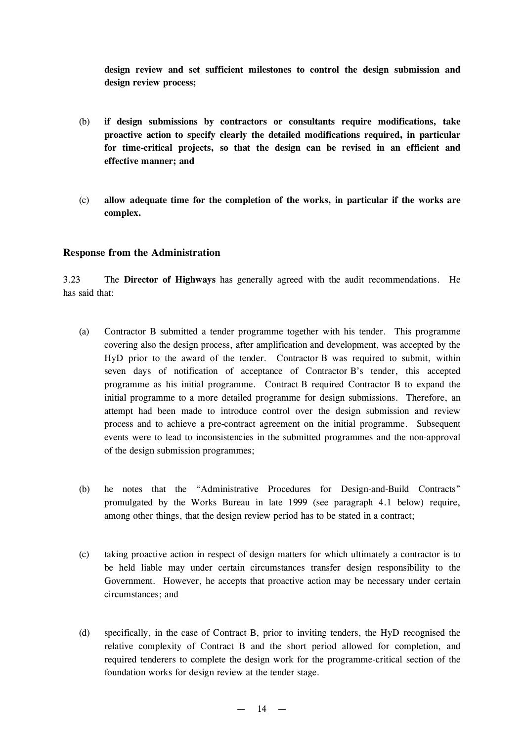**design review and set sufficient milestones to control the design submission and design review process;**

- (b) **if design submissions by contractors or consultants require modifications, take proactive action to specify clearly the detailed modifications required, in particular for time-critical projects, so that the design can be revised in an efficient and effective manner; and**
- (c) **allow adequate time for the completion of the works, in particular if the works are complex.**

#### **Response from the Administration**

3.23 The **Director of Highways** has generally agreed with the audit recommendations. He has said that:

- (a) Contractor B submitted a tender programme together with his tender. This programme covering also the design process, after amplification and development, was accepted by the HyD prior to the award of the tender. Contractor B was required to submit, within seven days of notification of acceptance of Contractor B's tender, this accepted programme as his initial programme. Contract B required Contractor B to expand the initial programme to a more detailed programme for design submissions. Therefore, an attempt had been made to introduce control over the design submission and review process and to achieve a pre-contract agreement on the initial programme. Subsequent events were to lead to inconsistencies in the submitted programmes and the non-approval of the design submission programmes;
- (b) he notes that the "Administrative Procedures for Design-and-Build Contracts" promulgated by the Works Bureau in late 1999 (see paragraph 4.1 below) require, among other things, that the design review period has to be stated in a contract;
- (c) taking proactive action in respect of design matters for which ultimately a contractor is to be held liable may under certain circumstances transfer design responsibility to the Government. However, he accepts that proactive action may be necessary under certain circumstances; and
- (d) specifically, in the case of Contract B, prior to inviting tenders, the HyD recognised the relative complexity of Contract B and the short period allowed for completion, and required tenderers to complete the design work for the programme-critical section of the foundation works for design review at the tender stage.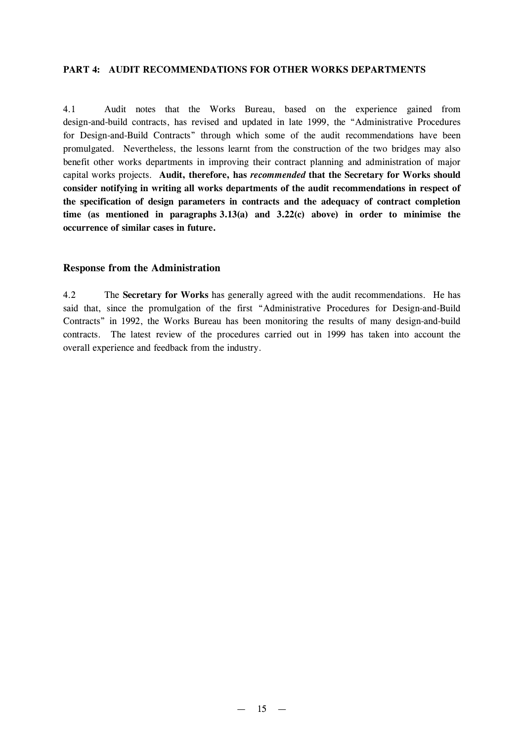#### **PART 4: AUDIT RECOMMENDATIONS FOR OTHER WORKS DEPARTMENTS**

4.1 Audit notes that the Works Bureau, based on the experience gained from design-and-build contracts, has revised and updated in late 1999, the "Administrative Procedures for Design-and-Build Contracts" through which some of the audit recommendations have been promulgated. Nevertheless, the lessons learnt from the construction of the two bridges may also benefit other works departments in improving their contract planning and administration of major capital works projects. **Audit, therefore, has** *recommended* **that the Secretary for Works should consider notifying in writing all works departments of the audit recommendations in respect of the specification of design parameters in contracts and the adequacy of contract completion time (as mentioned in paragraphs 3.13(a) and 3.22(c) above) in order to minimise the occurrence of similar cases in future.**

#### **Response from the Administration**

4.2 The **Secretary for Works** has generally agreed with the audit recommendations. He has said that, since the promulgation of the first "Administrative Procedures for Design-and-Build Contracts" in 1992, the Works Bureau has been monitoring the results of many design-and-build contracts. The latest review of the procedures carried out in 1999 has taken into account the overall experience and feedback from the industry.